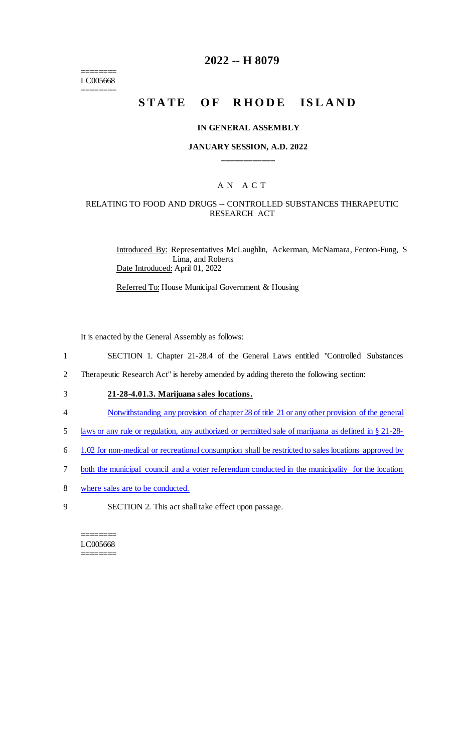======== LC005668 ========

## **2022 -- H 8079**

# **STATE OF RHODE ISLAND**

#### **IN GENERAL ASSEMBLY**

#### **JANUARY SESSION, A.D. 2022 \_\_\_\_\_\_\_\_\_\_\_\_**

### A N A C T

#### RELATING TO FOOD AND DRUGS -- CONTROLLED SUBSTANCES THERAPEUTIC RESEARCH ACT

Introduced By: Representatives McLaughlin, Ackerman, McNamara, Fenton-Fung, S Lima, and Roberts Date Introduced: April 01, 2022

Referred To: House Municipal Government & Housing

It is enacted by the General Assembly as follows:

- 1 SECTION 1. Chapter 21-28.4 of the General Laws entitled "Controlled Substances
- 2 Therapeutic Research Act" is hereby amended by adding thereto the following section:
- 3 **21-28-4.01.3. Marijuana sales locations.**
- 4 Notwithstanding any provision of chapter 28 of title 21 or any other provision of the general
- 5 laws or any rule or regulation, any authorized or permitted sale of marijuana as defined in § 21-28-
- 6 1.02 for non-medical or recreational consumption shall be restricted to sales locations approved by
- 7 both the municipal council and a voter referendum conducted in the municipality for the location
- 8 where sales are to be conducted.
- 9 SECTION 2. This act shall take effect upon passage.

======== LC005668 ========